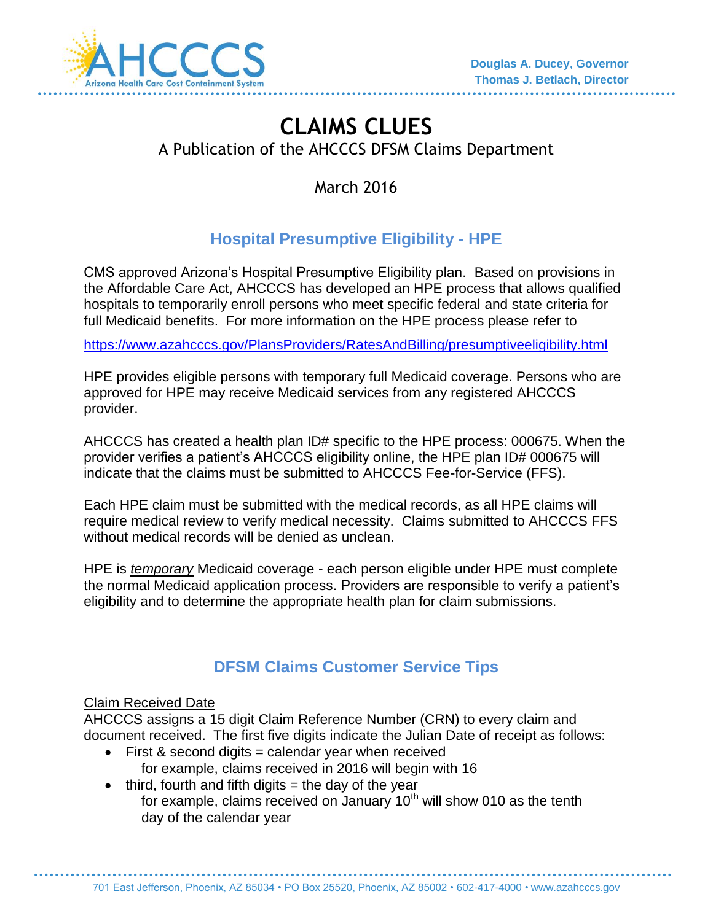

# **CLAIMS CLUES**  A Publication of the AHCCCS DFSM Claims Department

March 2016

## **Hospital Presumptive Eligibility - HPE**

CMS approved Arizona's Hospital Presumptive Eligibility plan. Based on provisions in the Affordable Care Act, AHCCCS has developed an HPE process that allows qualified hospitals to temporarily enroll persons who meet specific federal and state criteria for full Medicaid benefits. For more information on the HPE process please refer to

<https://www.azahcccs.gov/PlansProviders/RatesAndBilling/presumptiveeligibility.html>

HPE provides eligible persons with temporary full Medicaid coverage. Persons who are approved for HPE may receive Medicaid services from any registered AHCCCS provider.

AHCCCS has created a health plan ID# specific to the HPE process: 000675. When the provider verifies a patient's AHCCCS eligibility online, the HPE plan ID# 000675 will indicate that the claims must be submitted to AHCCCS Fee-for-Service (FFS).

Each HPE claim must be submitted with the medical records, as all HPE claims will require medical review to verify medical necessity. Claims submitted to AHCCCS FFS without medical records will be denied as unclean.

HPE is *temporary* Medicaid coverage - each person eligible under HPE must complete the normal Medicaid application process. Providers are responsible to verify a patient's eligibility and to determine the appropriate health plan for claim submissions.

## **DFSM Claims Customer Service Tips**

#### Claim Received Date

AHCCCS assigns a 15 digit Claim Reference Number (CRN) to every claim and document received. The first five digits indicate the Julian Date of receipt as follows:

- $\bullet$  First & second digits = calendar year when received for example, claims received in 2016 will begin with 16
- $\bullet$  third, fourth and fifth digits = the day of the year for example, claims received on January  $10<sup>th</sup>$  will show 010 as the tenth day of the calendar year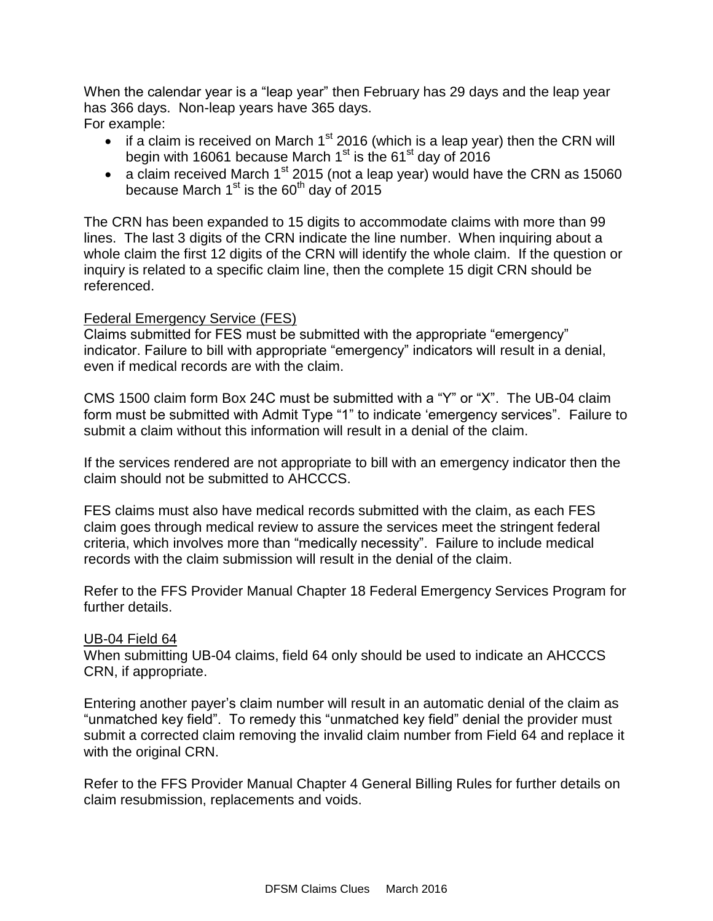When the calendar year is a "leap year" then February has 29 days and the leap year has 366 days. Non-leap years have 365 days. For example:

- $\bullet$  if a claim is received on March 1<sup>st</sup> 2016 (which is a leap year) then the CRN will begin with 16061 because March  $1<sup>st</sup>$  is the 61<sup>st</sup> day of 2016
- a claim received March  $1^{st}$  2015 (not a leap year) would have the CRN as 15060 because March  $1<sup>st</sup>$  is the 60<sup>th</sup> day of 2015

The CRN has been expanded to 15 digits to accommodate claims with more than 99 lines. The last 3 digits of the CRN indicate the line number. When inquiring about a whole claim the first 12 digits of the CRN will identify the whole claim. If the question or inquiry is related to a specific claim line, then the complete 15 digit CRN should be referenced.

#### Federal Emergency Service (FES)

Claims submitted for FES must be submitted with the appropriate "emergency" indicator. Failure to bill with appropriate "emergency" indicators will result in a denial, even if medical records are with the claim.

CMS 1500 claim form Box 24C must be submitted with a "Y" or "X". The UB-04 claim form must be submitted with Admit Type "1" to indicate 'emergency services". Failure to submit a claim without this information will result in a denial of the claim.

If the services rendered are not appropriate to bill with an emergency indicator then the claim should not be submitted to AHCCCS.

FES claims must also have medical records submitted with the claim, as each FES claim goes through medical review to assure the services meet the stringent federal criteria, which involves more than "medically necessity". Failure to include medical records with the claim submission will result in the denial of the claim.

Refer to the FFS Provider Manual Chapter 18 Federal Emergency Services Program for further details.

#### UB-04 Field 64

When submitting UB-04 claims, field 64 only should be used to indicate an AHCCCS CRN, if appropriate.

Entering another payer's claim number will result in an automatic denial of the claim as "unmatched key field". To remedy this "unmatched key field" denial the provider must submit a corrected claim removing the invalid claim number from Field 64 and replace it with the original CRN.

Refer to the FFS Provider Manual Chapter 4 General Billing Rules for further details on claim resubmission, replacements and voids.